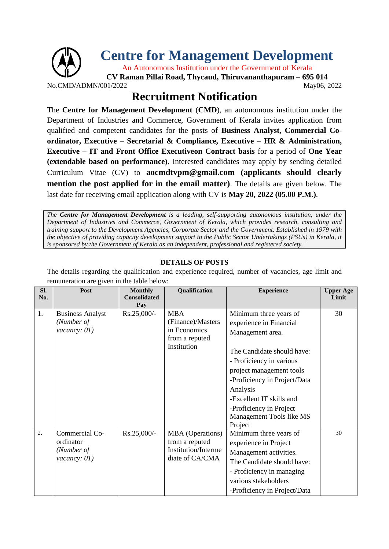

## **Recruitment Notification**

The **Centre for Management Development** (**CMD**), an autonomous institution under the Department of Industries and Commerce, Government of Kerala invites application from qualified and competent candidates for the posts of **Business Analyst, Commercial Coordinator, Executive – Secretarial & Compliance, Executive – HR & Administration, Executive – IT and Front Office Executiveon Contract basis** for a period of **One Year (extendable based on performance)**. Interested candidates may apply by sending detailed Curriculum Vitae (CV) to **aocmdtvpm@gmail.com (applicants should clearly mention the post applied for in the email matter)**. The details are given below. The last date for receiving email application along with CV is **May 20, 2022 (05.00 P.M.)**.

*The Centre for Management Development is a leading, self-supporting autonomous institution, under the Department of Industries and Commerce, Government of Kerala, which provides research, consulting and training support to the Development Agencies, Corporate Sector and the Government. Established in 1979 with the objective of providing capacity development support to the Public Sector Undertakings (PSUs) in Kerala, it is sponsored by the Government of Kerala as an independent, professional and registered society.*

## **DETAILS OF POSTS**

The details regarding the qualification and experience required, number of vacancies, age limit and remuneration are given in the table below:

| SI.<br>No. | Post                                                        | <b>Monthly</b><br><b>Consolidated</b><br>Pay | Qualification                                                                              | <b>Experience</b>                                                                                                                                                                                                                                                                                     | <b>Upper Age</b><br>Limit |
|------------|-------------------------------------------------------------|----------------------------------------------|--------------------------------------------------------------------------------------------|-------------------------------------------------------------------------------------------------------------------------------------------------------------------------------------------------------------------------------------------------------------------------------------------------------|---------------------------|
| 1.         | <b>Business Analyst</b><br>(Number of<br>vacancy: $01)$     | Rs.25,000/-                                  | <b>MBA</b><br>(Finance)/Masters<br>in Economics<br>from a reputed<br>Institution           | Minimum three years of<br>experience in Financial<br>Management area.<br>The Candidate should have:<br>- Proficiency in various<br>project management tools<br>-Proficiency in Project/Data<br>Analysis<br>-Excellent IT skills and<br>-Proficiency in Project<br>Management Tools like MS<br>Project | 30                        |
| 2.         | Commercial Co-<br>ordinator<br>(Number of<br>vacancy: $01)$ | $Rs.25,000/-$                                | <b>MBA</b> (Operations)<br>from a reputed<br><b>Institution/Interme</b><br>diate of CA/CMA | Minimum three years of<br>experience in Project<br>Management activities.<br>The Candidate should have:<br>- Proficiency in managing<br>various stakeholders<br>-Proficiency in Project/Data                                                                                                          | 30                        |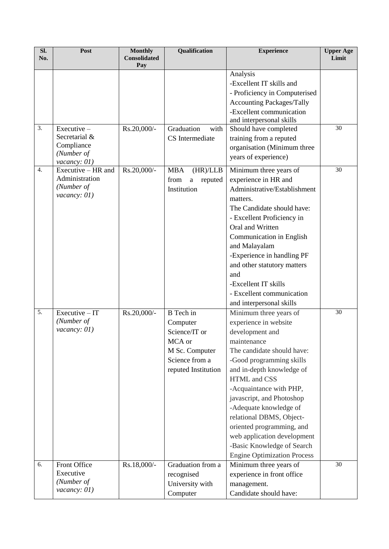| SI.<br>No.       | Post                               | <b>Monthly</b><br><b>Consolidated</b> | <b>Qualification</b>        | <b>Experience</b>                                            | <b>Upper Age</b><br>Limit |
|------------------|------------------------------------|---------------------------------------|-----------------------------|--------------------------------------------------------------|---------------------------|
|                  |                                    | Pay                                   |                             |                                                              |                           |
|                  |                                    |                                       |                             | Analysis<br>-Excellent IT skills and                         |                           |
|                  |                                    |                                       |                             |                                                              |                           |
|                  |                                    |                                       |                             | - Proficiency in Computerised                                |                           |
|                  |                                    |                                       |                             | <b>Accounting Packages/Tally</b><br>-Excellent communication |                           |
|                  |                                    |                                       |                             | and interpersonal skills                                     |                           |
| 3.               | Executive-                         | Rs.20,000/-                           | Graduation<br>with          | Should have completed                                        | 30                        |
|                  | Secretarial &                      |                                       | CS Intermediate             | training from a reputed                                      |                           |
|                  | Compliance                         |                                       |                             | organisation (Minimum three                                  |                           |
|                  | (Number of                         |                                       |                             | years of experience)                                         |                           |
| $\overline{4}$ . | vacancy: 01)<br>Executive – HR and | Rs.20,000/-                           | (HR)/LLB<br><b>MBA</b>      |                                                              | 30                        |
|                  | Administration                     |                                       | from                        | Minimum three years of<br>experience in HR and               |                           |
|                  | (Number of                         |                                       | reputed<br>a<br>Institution | Administrative/Establishment                                 |                           |
|                  | vacancy: $01)$                     |                                       |                             | matters.                                                     |                           |
|                  |                                    |                                       |                             | The Candidate should have:                                   |                           |
|                  |                                    |                                       |                             | - Excellent Proficiency in                                   |                           |
|                  |                                    |                                       |                             | Oral and Written                                             |                           |
|                  |                                    |                                       |                             | Communication in English                                     |                           |
|                  |                                    |                                       |                             | and Malayalam                                                |                           |
|                  |                                    |                                       |                             | -Experience in handling PF                                   |                           |
|                  |                                    |                                       |                             | and other statutory matters                                  |                           |
|                  |                                    |                                       |                             | and                                                          |                           |
|                  |                                    |                                       |                             | -Excellent IT skills                                         |                           |
|                  |                                    |                                       |                             | - Excellent communication                                    |                           |
|                  |                                    |                                       |                             | and interpersonal skills                                     |                           |
| 5.               | $Executive - IT$                   | Rs.20,000/-                           | <b>B</b> Tech in            | Minimum three years of                                       | 30                        |
|                  | (Number of                         |                                       | Computer                    | experience in website                                        |                           |
|                  | vacancy: $01)$                     |                                       | Science/IT or               | development and                                              |                           |
|                  |                                    |                                       | MCA or                      | maintenance                                                  |                           |
|                  |                                    |                                       | M Sc. Computer              | The candidate should have:                                   |                           |
|                  |                                    |                                       | Science from a              | -Good programming skills                                     |                           |
|                  |                                    |                                       | reputed Institution         | and in-depth knowledge of                                    |                           |
|                  |                                    |                                       |                             | HTML and CSS                                                 |                           |
|                  |                                    |                                       |                             | -Acquaintance with PHP,                                      |                           |
|                  |                                    |                                       |                             | javascript, and Photoshop                                    |                           |
|                  |                                    |                                       |                             | -Adequate knowledge of                                       |                           |
|                  |                                    |                                       |                             | relational DBMS, Object-                                     |                           |
|                  |                                    |                                       |                             | oriented programming, and                                    |                           |
|                  |                                    |                                       |                             | web application development                                  |                           |
|                  |                                    |                                       |                             | -Basic Knowledge of Search                                   |                           |
|                  |                                    |                                       |                             | <b>Engine Optimization Process</b>                           |                           |
| 6.               | Front Office                       | Rs.18,000/-                           | Graduation from a           | Minimum three years of                                       | 30                        |
|                  | Executive                          |                                       | recognised                  | experience in front office                                   |                           |
|                  | (Number of<br>vacancy: $01)$       |                                       | University with             | management.                                                  |                           |
|                  |                                    |                                       | Computer                    | Candidate should have:                                       |                           |